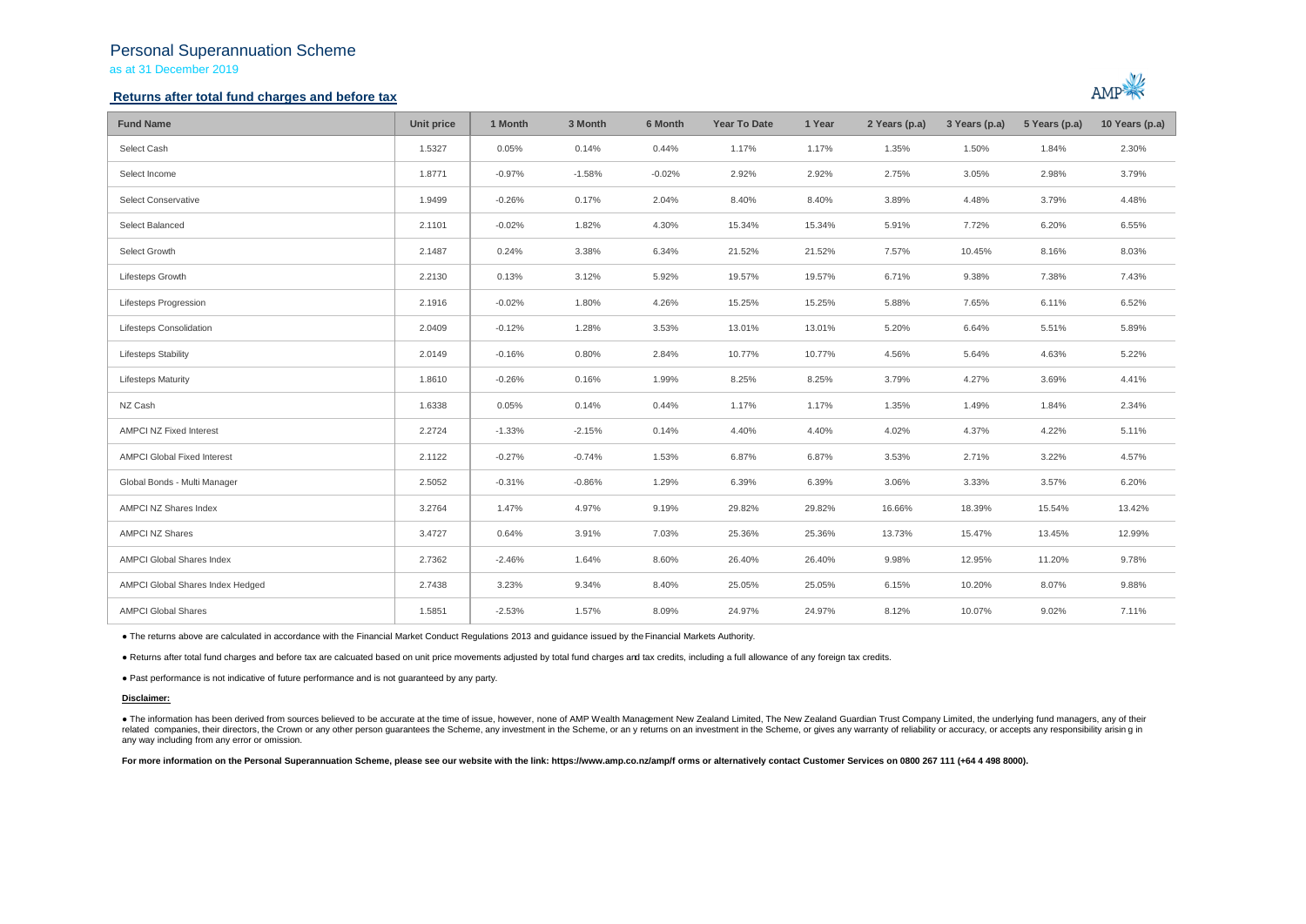## Personal Superannuation Scheme

as at 31 December 2019

## **Returns after total fund charges and before tax**



| <b>Fund Name</b>                   | Unit price | 1 Month  | 3 Month  | 6 Month  | <b>Year To Date</b> | 1 Year | 2 Years (p.a) | 3 Years (p.a) | 5 Years (p.a) | 10 Years (p.a) |
|------------------------------------|------------|----------|----------|----------|---------------------|--------|---------------|---------------|---------------|----------------|
| Select Cash                        | 1.5327     | 0.05%    | 0.14%    | 0.44%    | 1.17%               | 1.17%  | 1.35%         | 1.50%         | 1.84%         | 2.30%          |
| Select Income                      | 1.8771     | $-0.97%$ | $-1.58%$ | $-0.02%$ | 2.92%               | 2.92%  | 2.75%         | 3.05%         | 2.98%         | 3.79%          |
| Select Conservative                | 1.9499     | $-0.26%$ | 0.17%    | 2.04%    | 8.40%               | 8.40%  | 3.89%         | 4.48%         | 3.79%         | 4.48%          |
| Select Balanced                    | 2.1101     | $-0.02%$ | 1.82%    | 4.30%    | 15.34%              | 15.34% | 5.91%         | 7.72%         | 6.20%         | 6.55%          |
| Select Growth                      | 2.1487     | 0.24%    | 3.38%    | 6.34%    | 21.52%              | 21.52% | 7.57%         | 10.45%        | 8.16%         | 8.03%          |
| Lifesteps Growth                   | 2.2130     | 0.13%    | 3.12%    | 5.92%    | 19.57%              | 19.57% | 6.71%         | 9.38%         | 7.38%         | 7.43%          |
| <b>Lifesteps Progression</b>       | 2.1916     | $-0.02%$ | 1.80%    | 4.26%    | 15.25%              | 15.25% | 5.88%         | 7.65%         | 6.11%         | 6.52%          |
| Lifesteps Consolidation            | 2.0409     | $-0.12%$ | 1.28%    | 3.53%    | 13.01%              | 13.01% | 5.20%         | 6.64%         | 5.51%         | 5.89%          |
| <b>Lifesteps Stability</b>         | 2.0149     | $-0.16%$ | 0.80%    | 2.84%    | 10.77%              | 10.77% | 4.56%         | 5.64%         | 4.63%         | 5.22%          |
| <b>Lifesteps Maturity</b>          | 1.8610     | $-0.26%$ | 0.16%    | 1.99%    | 8.25%               | 8.25%  | 3.79%         | 4.27%         | 3.69%         | 4.41%          |
| NZ Cash                            | 1.6338     | 0.05%    | 0.14%    | 0.44%    | 1.17%               | 1.17%  | 1.35%         | 1.49%         | 1.84%         | 2.34%          |
| <b>AMPCI NZ Fixed Interest</b>     | 2.2724     | $-1.33%$ | $-2.15%$ | 0.14%    | 4.40%               | 4.40%  | 4.02%         | 4.37%         | 4.22%         | 5.11%          |
| <b>AMPCI Global Fixed Interest</b> | 2.1122     | $-0.27%$ | $-0.74%$ | 1.53%    | 6.87%               | 6.87%  | 3.53%         | 2.71%         | 3.22%         | 4.57%          |
| Global Bonds - Multi Manager       | 2.5052     | $-0.31%$ | $-0.86%$ | 1.29%    | 6.39%               | 6.39%  | 3.06%         | 3.33%         | 3.57%         | 6.20%          |
| AMPCI NZ Shares Index              | 3.2764     | 1.47%    | 4.97%    | 9.19%    | 29.82%              | 29.82% | 16.66%        | 18.39%        | 15.54%        | 13.42%         |
| <b>AMPCI NZ Shares</b>             | 3.4727     | 0.64%    | 3.91%    | 7.03%    | 25.36%              | 25.36% | 13.73%        | 15.47%        | 13.45%        | 12.99%         |
| AMPCI Global Shares Index          | 2.7362     | $-2.46%$ | 1.64%    | 8.60%    | 26.40%              | 26.40% | 9.98%         | 12.95%        | 11.20%        | 9.78%          |
| AMPCI Global Shares Index Hedged   | 2.7438     | 3.23%    | 9.34%    | 8.40%    | 25.05%              | 25.05% | 6.15%         | 10.20%        | 8.07%         | 9.88%          |
| <b>AMPCI Global Shares</b>         | 1.5851     | $-2.53%$ | 1.57%    | 8.09%    | 24.97%              | 24.97% | 8.12%         | 10.07%        | 9.02%         | 7.11%          |

● The returns above are calculated in accordance with the Financial Market Conduct Regulations 2013 and guidance issued by the Financial Markets Authority.

● Returns after total fund charges and before tax are calcuated based on unit price movements adjusted by total fund charges and tax credits, including a full allowance of any foreign tax credits.

● Past performance is not indicative of future performance and is not guaranteed by any party.

#### **Disclaimer:**

. The information has been derived from sources believed to be accurate at the time of issue, however, none of AMP Wealth Management New Zealand Limited, The New Zealand Guardian Trust Company Limited, the underlying fund related companies, their directors, the Crown or any other person quarantees the Scheme, any investment in the Scheme, or any returns on an investment in the Scheme, or gives any warranty of reliability or accuracy, or acc any way including from any error or omission.

For more information on the Personal Superannuation Scheme, please see our website with the link: https://www.amp.co.nz/amp/f orms or alternatively contact Customer Services on 0800 267 111 (+64 4 498 8000).